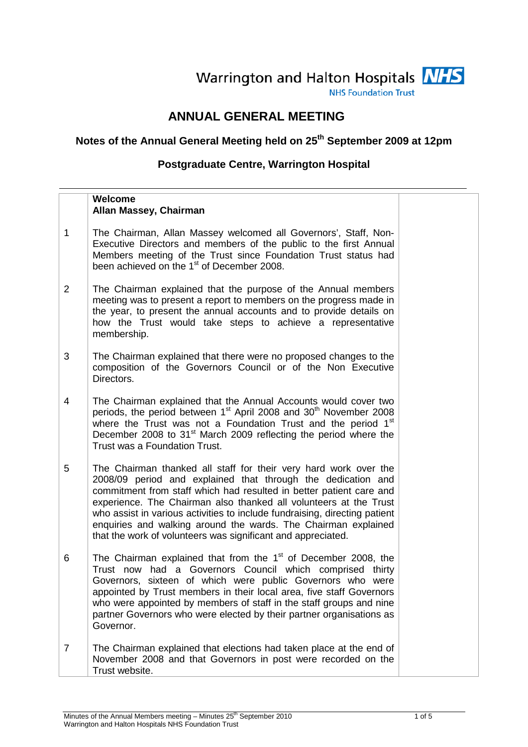# Warrington and Halton Hospitals NHS

**NHS Foundation Trust** 

## **ANNUAL GENERAL MEETING**

# **Notes of the Annual General Meeting held on 25th September 2009 at 12pm**

### **Postgraduate Centre, Warrington Hospital**

|                | Welcome<br>Allan Massey, Chairman                                                                                                                                                                                                                                                                                                                                                                                                                                                            |  |
|----------------|----------------------------------------------------------------------------------------------------------------------------------------------------------------------------------------------------------------------------------------------------------------------------------------------------------------------------------------------------------------------------------------------------------------------------------------------------------------------------------------------|--|
| $\mathbf{1}$   | The Chairman, Allan Massey welcomed all Governors', Staff, Non-<br>Executive Directors and members of the public to the first Annual<br>Members meeting of the Trust since Foundation Trust status had<br>been achieved on the 1 <sup>st</sup> of December 2008.                                                                                                                                                                                                                             |  |
| $\overline{2}$ | The Chairman explained that the purpose of the Annual members<br>meeting was to present a report to members on the progress made in<br>the year, to present the annual accounts and to provide details on<br>how the Trust would take steps to achieve a representative<br>membership.                                                                                                                                                                                                       |  |
| 3              | The Chairman explained that there were no proposed changes to the<br>composition of the Governors Council or of the Non Executive<br>Directors.                                                                                                                                                                                                                                                                                                                                              |  |
| $\overline{4}$ | The Chairman explained that the Annual Accounts would cover two<br>periods, the period between 1 <sup>st</sup> April 2008 and 30 <sup>th</sup> November 2008<br>where the Trust was not a Foundation Trust and the period 1 <sup>st</sup><br>December 2008 to 31 <sup>st</sup> March 2009 reflecting the period where the<br>Trust was a Foundation Trust.                                                                                                                                   |  |
| 5              | The Chairman thanked all staff for their very hard work over the<br>2008/09 period and explained that through the dedication and<br>commitment from staff which had resulted in better patient care and<br>experience. The Chairman also thanked all volunteers at the Trust<br>who assist in various activities to include fundraising, directing patient<br>enquiries and walking around the wards. The Chairman explained<br>that the work of volunteers was significant and appreciated. |  |
| 6              | The Chairman explained that from the 1 <sup>st</sup> of December 2008, the<br>had a Governors Council which comprised<br>Trust now<br>thirty<br>Governors, sixteen of which were public Governors who were<br>appointed by Trust members in their local area, five staff Governors<br>who were appointed by members of staff in the staff groups and nine<br>partner Governors who were elected by their partner organisations as<br>Governor.                                               |  |
| $\overline{7}$ | The Chairman explained that elections had taken place at the end of<br>November 2008 and that Governors in post were recorded on the<br>Trust website.                                                                                                                                                                                                                                                                                                                                       |  |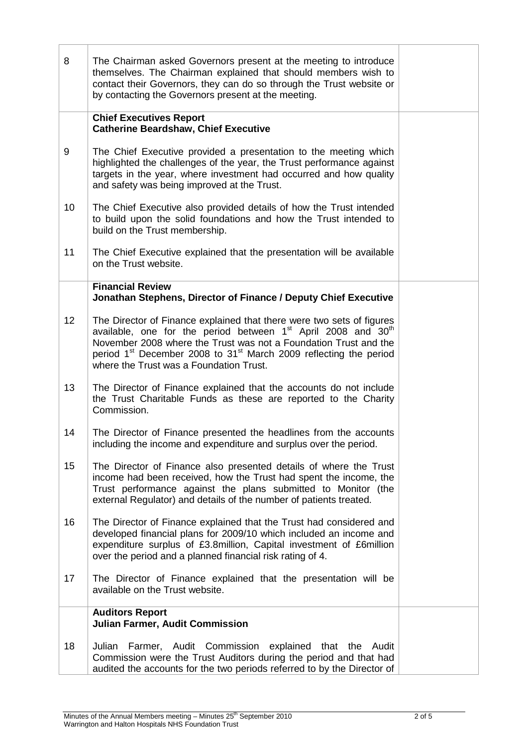| 8  | The Chairman asked Governors present at the meeting to introduce<br>themselves. The Chairman explained that should members wish to<br>contact their Governors, they can do so through the Trust website or<br>by contacting the Governors present at the meeting.                                                                                                          |  |
|----|----------------------------------------------------------------------------------------------------------------------------------------------------------------------------------------------------------------------------------------------------------------------------------------------------------------------------------------------------------------------------|--|
|    | <b>Chief Executives Report</b><br><b>Catherine Beardshaw, Chief Executive</b>                                                                                                                                                                                                                                                                                              |  |
| 9  | The Chief Executive provided a presentation to the meeting which<br>highlighted the challenges of the year, the Trust performance against<br>targets in the year, where investment had occurred and how quality<br>and safety was being improved at the Trust.                                                                                                             |  |
| 10 | The Chief Executive also provided details of how the Trust intended<br>to build upon the solid foundations and how the Trust intended to<br>build on the Trust membership.                                                                                                                                                                                                 |  |
| 11 | The Chief Executive explained that the presentation will be available<br>on the Trust website.                                                                                                                                                                                                                                                                             |  |
|    | <b>Financial Review</b><br>Jonathan Stephens, Director of Finance / Deputy Chief Executive                                                                                                                                                                                                                                                                                 |  |
| 12 | The Director of Finance explained that there were two sets of figures<br>available, one for the period between 1 <sup>st</sup> April 2008 and 30 <sup>th</sup><br>November 2008 where the Trust was not a Foundation Trust and the<br>period 1 <sup>st</sup> December 2008 to 31 <sup>st</sup> March 2009 reflecting the period<br>where the Trust was a Foundation Trust. |  |
| 13 | The Director of Finance explained that the accounts do not include<br>the Trust Charitable Funds as these are reported to the Charity<br>Commission.                                                                                                                                                                                                                       |  |
| 14 | The Director of Finance presented the headlines from the accounts<br>including the income and expenditure and surplus over the period.                                                                                                                                                                                                                                     |  |
| 15 | The Director of Finance also presented details of where the Trust<br>income had been received, how the Trust had spent the income, the<br>Trust performance against the plans submitted to Monitor (the<br>external Regulator) and details of the number of patients treated.                                                                                              |  |
| 16 | The Director of Finance explained that the Trust had considered and<br>developed financial plans for 2009/10 which included an income and<br>expenditure surplus of £3.8million, Capital investment of £6million<br>over the period and a planned financial risk rating of 4.                                                                                              |  |
| 17 | The Director of Finance explained that the presentation will be<br>available on the Trust website.                                                                                                                                                                                                                                                                         |  |
|    | <b>Auditors Report</b><br><b>Julian Farmer, Audit Commission</b>                                                                                                                                                                                                                                                                                                           |  |
| 18 | Julian Farmer, Audit Commission explained that the Audit<br>Commission were the Trust Auditors during the period and that had<br>audited the accounts for the two periods referred to by the Director of                                                                                                                                                                   |  |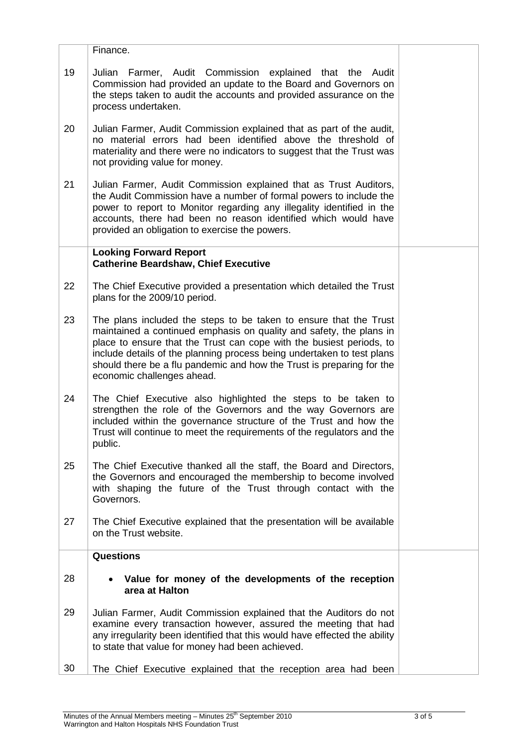|    | Finance.                                                                                                                                                                                                                                                                                                                                                                                          |  |
|----|---------------------------------------------------------------------------------------------------------------------------------------------------------------------------------------------------------------------------------------------------------------------------------------------------------------------------------------------------------------------------------------------------|--|
| 19 | Julian Farmer, Audit Commission explained that the Audit<br>Commission had provided an update to the Board and Governors on<br>the steps taken to audit the accounts and provided assurance on the<br>process undertaken.                                                                                                                                                                         |  |
| 20 | Julian Farmer, Audit Commission explained that as part of the audit,<br>no material errors had been identified above the threshold of<br>materiality and there were no indicators to suggest that the Trust was<br>not providing value for money.                                                                                                                                                 |  |
| 21 | Julian Farmer, Audit Commission explained that as Trust Auditors,<br>the Audit Commission have a number of formal powers to include the<br>power to report to Monitor regarding any illegality identified in the<br>accounts, there had been no reason identified which would have<br>provided an obligation to exercise the powers.                                                              |  |
|    | <b>Looking Forward Report</b><br><b>Catherine Beardshaw, Chief Executive</b>                                                                                                                                                                                                                                                                                                                      |  |
| 22 | The Chief Executive provided a presentation which detailed the Trust<br>plans for the 2009/10 period.                                                                                                                                                                                                                                                                                             |  |
| 23 | The plans included the steps to be taken to ensure that the Trust<br>maintained a continued emphasis on quality and safety, the plans in<br>place to ensure that the Trust can cope with the busiest periods, to<br>include details of the planning process being undertaken to test plans<br>should there be a flu pandemic and how the Trust is preparing for the<br>economic challenges ahead. |  |
| 24 | The Chief Executive also highlighted the steps to be taken to<br>strengthen the role of the Governors and the way Governors are<br>included within the governance structure of the Trust and how the<br>Trust will continue to meet the requirements of the regulators and the<br>public.                                                                                                         |  |
| 25 | The Chief Executive thanked all the staff, the Board and Directors,<br>the Governors and encouraged the membership to become involved<br>with shaping the future of the Trust through contact with the<br>Governors.                                                                                                                                                                              |  |
| 27 | The Chief Executive explained that the presentation will be available<br>on the Trust website.                                                                                                                                                                                                                                                                                                    |  |
|    | <b>Questions</b>                                                                                                                                                                                                                                                                                                                                                                                  |  |
| 28 | Value for money of the developments of the reception<br>area at Halton                                                                                                                                                                                                                                                                                                                            |  |
| 29 | Julian Farmer, Audit Commission explained that the Auditors do not<br>examine every transaction however, assured the meeting that had<br>any irregularity been identified that this would have effected the ability<br>to state that value for money had been achieved.                                                                                                                           |  |
| 30 | The Chief Executive explained that the reception area had been                                                                                                                                                                                                                                                                                                                                    |  |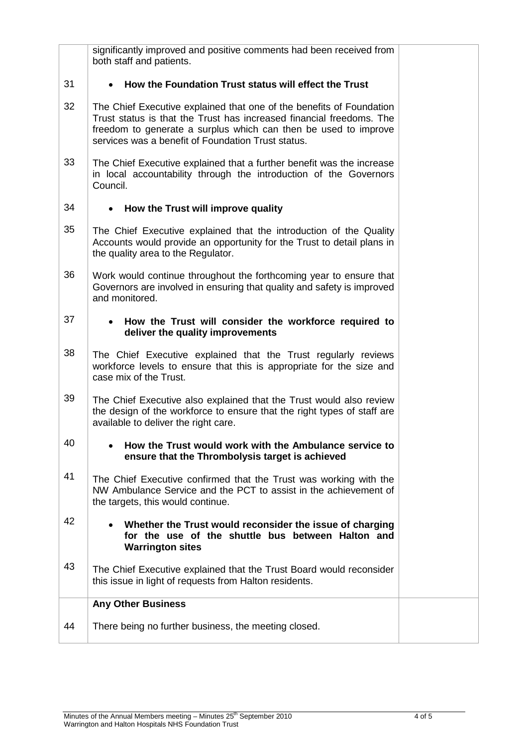|    | significantly improved and positive comments had been received from<br>both staff and patients.                                                                                                                                                                       |  |
|----|-----------------------------------------------------------------------------------------------------------------------------------------------------------------------------------------------------------------------------------------------------------------------|--|
| 31 | How the Foundation Trust status will effect the Trust                                                                                                                                                                                                                 |  |
| 32 | The Chief Executive explained that one of the benefits of Foundation<br>Trust status is that the Trust has increased financial freedoms. The<br>freedom to generate a surplus which can then be used to improve<br>services was a benefit of Foundation Trust status. |  |
| 33 | The Chief Executive explained that a further benefit was the increase<br>in local accountability through the introduction of the Governors<br>Council.                                                                                                                |  |
| 34 | How the Trust will improve quality<br>$\bullet$                                                                                                                                                                                                                       |  |
| 35 | The Chief Executive explained that the introduction of the Quality<br>Accounts would provide an opportunity for the Trust to detail plans in<br>the quality area to the Regulator.                                                                                    |  |
| 36 | Work would continue throughout the forthcoming year to ensure that<br>Governors are involved in ensuring that quality and safety is improved<br>and monitored.                                                                                                        |  |
| 37 | How the Trust will consider the workforce required to<br>deliver the quality improvements                                                                                                                                                                             |  |
| 38 | The Chief Executive explained that the Trust regularly reviews<br>workforce levels to ensure that this is appropriate for the size and<br>case mix of the Trust.                                                                                                      |  |
| 39 | The Chief Executive also explained that the Trust would also review<br>the design of the workforce to ensure that the right types of staff are<br>available to deliver the right care.                                                                                |  |
| 40 | How the Trust would work with the Ambulance service to<br>ensure that the Thrombolysis target is achieved                                                                                                                                                             |  |
| 41 | The Chief Executive confirmed that the Trust was working with the<br>NW Ambulance Service and the PCT to assist in the achievement of<br>the targets, this would continue.                                                                                            |  |
| 42 | Whether the Trust would reconsider the issue of charging<br>for the use of the shuttle bus between Halton and<br><b>Warrington sites</b>                                                                                                                              |  |
| 43 | The Chief Executive explained that the Trust Board would reconsider<br>this issue in light of requests from Halton residents.                                                                                                                                         |  |
|    | <b>Any Other Business</b>                                                                                                                                                                                                                                             |  |
| 44 | There being no further business, the meeting closed.                                                                                                                                                                                                                  |  |